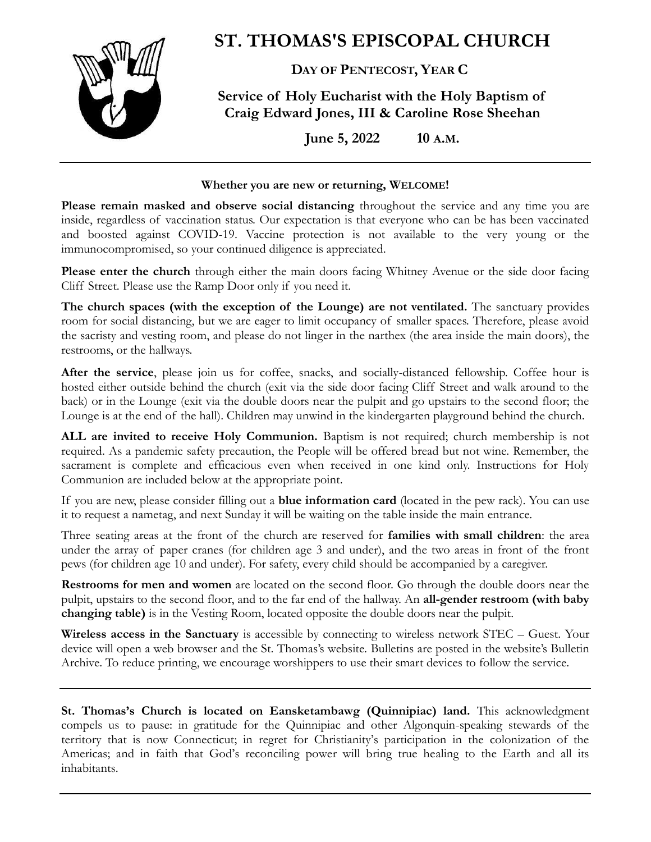

# **ST. THOMAS'S EPISCOPAL CHURCH**

**DAY OF PENTECOST, YEAR C**

**Service of Holy Eucharist with the Holy Baptism of Craig Edward Jones, III & Caroline Rose Sheehan**

**June 5, 2022 10 A.M.**

#### **Whether you are new or returning, WELCOME!**

**Please remain masked and observe social distancing** throughout the service and any time you are inside, regardless of vaccination status. Our expectation is that everyone who can be has been vaccinated and boosted against COVID-19. Vaccine protection is not available to the very young or the immunocompromised, so your continued diligence is appreciated.

**Please enter the church** through either the main doors facing Whitney Avenue or the side door facing Cliff Street. Please use the Ramp Door only if you need it.

**The church spaces (with the exception of the Lounge) are not ventilated.** The sanctuary provides room for social distancing, but we are eager to limit occupancy of smaller spaces. Therefore, please avoid the sacristy and vesting room, and please do not linger in the narthex (the area inside the main doors), the restrooms, or the hallways.

**After the service**, please join us for coffee, snacks, and socially-distanced fellowship. Coffee hour is hosted either outside behind the church (exit via the side door facing Cliff Street and walk around to the back) or in the Lounge (exit via the double doors near the pulpit and go upstairs to the second floor; the Lounge is at the end of the hall). Children may unwind in the kindergarten playground behind the church.

**ALL are invited to receive Holy Communion.** Baptism is not required; church membership is not required. As a pandemic safety precaution, the People will be offered bread but not wine. Remember, the sacrament is complete and efficacious even when received in one kind only. Instructions for Holy Communion are included below at the appropriate point.

If you are new, please consider filling out a **blue information card** (located in the pew rack). You can use it to request a nametag, and next Sunday it will be waiting on the table inside the main entrance.

Three seating areas at the front of the church are reserved for **families with small children**: the area under the array of paper cranes (for children age 3 and under), and the two areas in front of the front pews (for children age 10 and under). For safety, every child should be accompanied by a caregiver.

**Restrooms for men and women** are located on the second floor. Go through the double doors near the pulpit, upstairs to the second floor, and to the far end of the hallway. An **all-gender restroom (with baby changing table)** is in the Vesting Room, located opposite the double doors near the pulpit.

**Wireless access in the Sanctuary** is accessible by connecting to wireless network STEC – Guest. Your device will open a web browser and the St. Thomas's website. Bulletins are posted in the website's Bulletin Archive. To reduce printing, we encourage worshippers to use their smart devices to follow the service.

**St. Thomas's Church is located on Eansketambawg (Quinnipiac) land.** This acknowledgment compels us to pause: in gratitude for the Quinnipiac and other Algonquin-speaking stewards of the territory that is now Connecticut; in regret for Christianity's participation in the colonization of the Americas; and in faith that God's reconciling power will bring true healing to the Earth and all its inhabitants.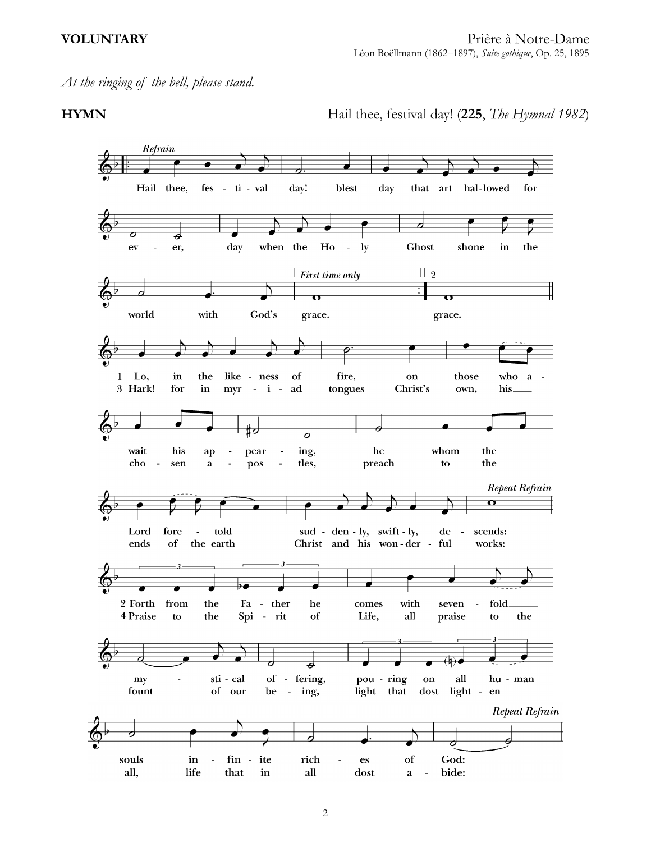*At the ringing of the bell, please stand.*

**HYMN** Hail thee, festival day! (**225**, *The Hymnal 1982*)

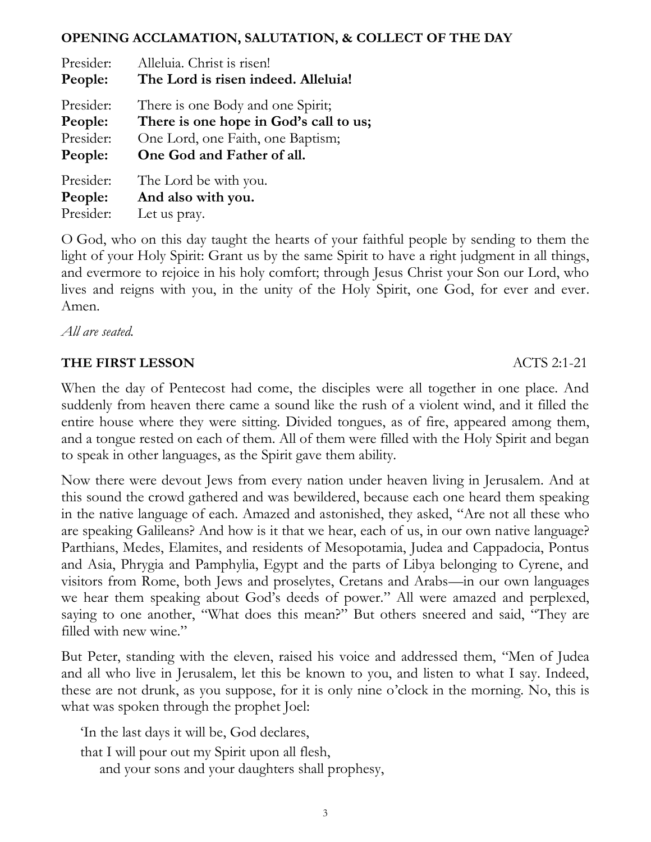### **OPENING ACCLAMATION, SALUTATION, & COLLECT OF THE DAY**

| Presider:<br>People: | Alleluia. Christ is risen!<br>The Lord is risen indeed. Alleluia! |
|----------------------|-------------------------------------------------------------------|
| Presider:            | There is one Body and one Spirit;                                 |
| People:              | There is one hope in God's call to us;                            |
| Presider:            | One Lord, one Faith, one Baptism;                                 |
| People:              | One God and Father of all.                                        |
| Presider:            | The Lord be with you.                                             |
| People:              | And also with you.                                                |
| Presider:            | Let us pray.                                                      |

O God, who on this day taught the hearts of your faithful people by sending to them the light of your Holy Spirit: Grant us by the same Spirit to have a right judgment in all things, and evermore to rejoice in his holy comfort; through Jesus Christ your Son our Lord, who lives and reigns with you, in the unity of the Holy Spirit, one God, for ever and ever. Amen.

*All are seated.*

### **THE FIRST LESSON** ACTS 2:1-21

When the day of Pentecost had come, the disciples were all together in one place. And suddenly from heaven there came a sound like the rush of a violent wind, and it filled the entire house where they were sitting. Divided tongues, as of fire, appeared among them, and a tongue rested on each of them. All of them were filled with the Holy Spirit and began to speak in other languages, as the Spirit gave them ability.

Now there were devout Jews from every nation under heaven living in Jerusalem. And at this sound the crowd gathered and was bewildered, because each one heard them speaking in the native language of each. Amazed and astonished, they asked, "Are not all these who are speaking Galileans? And how is it that we hear, each of us, in our own native language? Parthians, Medes, Elamites, and residents of Mesopotamia, Judea and Cappadocia, Pontus and Asia, Phrygia and Pamphylia, Egypt and the parts of Libya belonging to Cyrene, and visitors from Rome, both Jews and proselytes, Cretans and Arabs—in our own languages we hear them speaking about God's deeds of power." All were amazed and perplexed, saying to one another, "What does this mean?" But others sneered and said, "They are filled with new wine."

But Peter, standing with the eleven, raised his voice and addressed them, "Men of Judea and all who live in Jerusalem, let this be known to you, and listen to what I say. Indeed, these are not drunk, as you suppose, for it is only nine o'clock in the morning. No, this is what was spoken through the prophet Joel:

'In the last days it will be, God declares,

that I will pour out my Spirit upon all flesh,

and your sons and your daughters shall prophesy,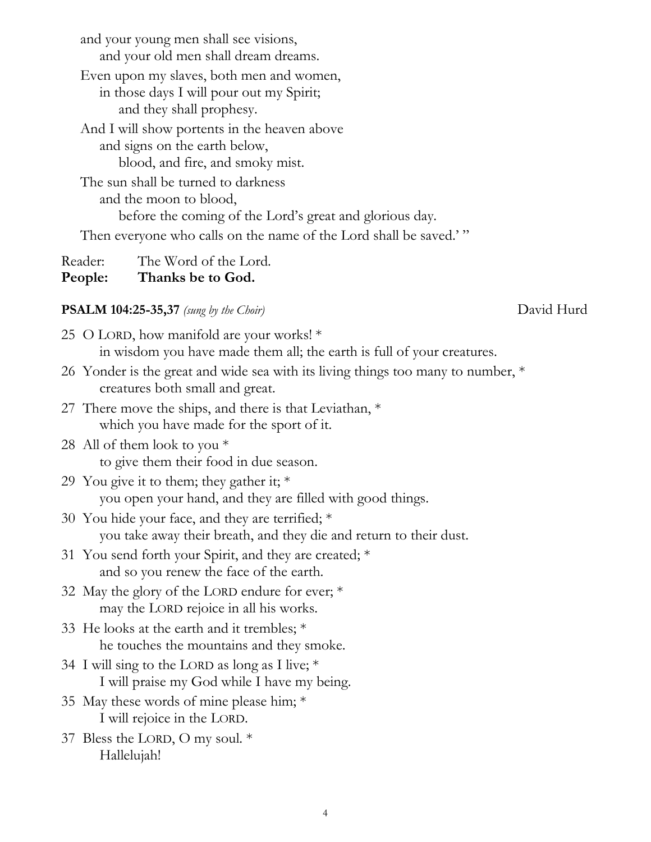and your young men shall see visions, and your old men shall dream dreams. Even upon my slaves, both men and women, in those days I will pour out my Spirit; and they shall prophesy. And I will show portents in the heaven above and signs on the earth below, blood, and fire, and smoky mist. The sun shall be turned to darkness and the moon to blood, before the coming of the Lord's great and glorious day. Then everyone who calls on the name of the Lord shall be saved.'"

| Reader: | The Word of the Lord. |
|---------|-----------------------|
| People: | Thanks be to God.     |

#### **PSALM 104:25-35,37** *(sung by the Choir)* David Hurd

- 25 O LORD, how manifold are your works! \* in wisdom you have made them all; the earth is full of your creatures.
- 26 Yonder is the great and wide sea with its living things too many to number, \* creatures both small and great.
- 27 There move the ships, and there is that Leviathan, \* which you have made for the sport of it.
- 28 All of them look to you \* to give them their food in due season.
- 29 You give it to them; they gather it;  $*$ you open your hand, and they are filled with good things.
- 30 You hide your face, and they are terrified; \* you take away their breath, and they die and return to their dust.
- 31 You send forth your Spirit, and they are created; \* and so you renew the face of the earth.
- 32 May the glory of the LORD endure for ever; \* may the LORD rejoice in all his works.
- 33 He looks at the earth and it trembles; \* he touches the mountains and they smoke.
- 34 I will sing to the LORD as long as I live; \* I will praise my God while I have my being.
- 35 May these words of mine please him; \* I will rejoice in the LORD.
- 37 Bless the LORD, O my soul. \* Hallelujah!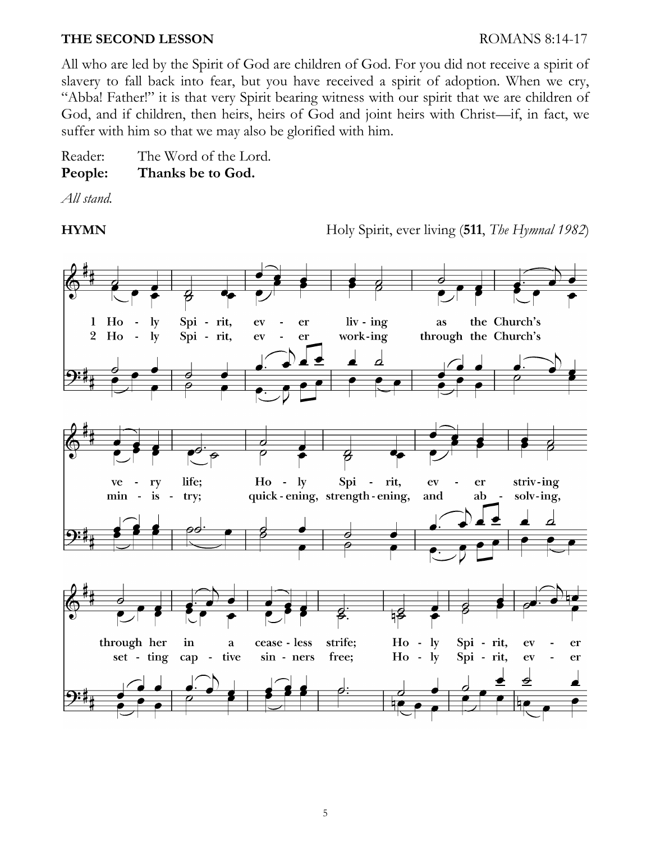#### **THE SECOND LESSON** ROMANS 8:14-17

All who are led by the Spirit of God are children of God. For you did not receive a spirit of slavery to fall back into fear, but you have received a spirit of adoption. When we cry, "Abba! Father!" it is that very Spirit bearing witness with our spirit that we are children of God, and if children, then heirs, heirs of God and joint heirs with Christ—if, in fact, we suffer with him so that we may also be glorified with him.

Reader: The Word of the Lord.

**People: Thanks be to God.**

*All stand.*

**HYMN** Holy Spirit, ever living (**511**, *The Hymnal 1982*)

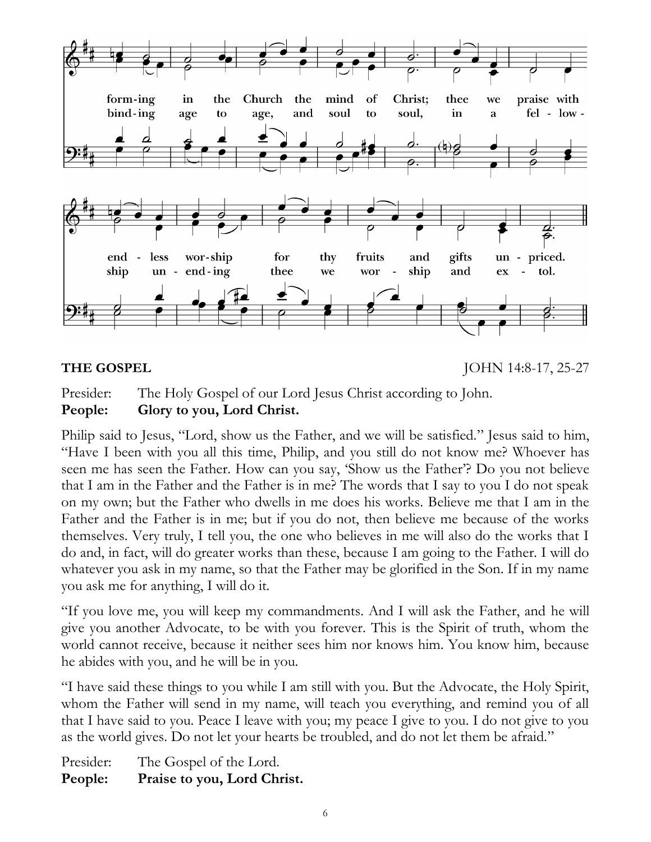

**THE GOSPEL** JOHN 14:8-17, 25-27

Presider: The Holy Gospel of our Lord Jesus Christ according to John. **People: Glory to you, Lord Christ.**

Philip said to Jesus, "Lord, show us the Father, and we will be satisfied." Jesus said to him, "Have I been with you all this time, Philip, and you still do not know me? Whoever has seen me has seen the Father. How can you say, 'Show us the Father'? Do you not believe that I am in the Father and the Father is in me? The words that I say to you I do not speak on my own; but the Father who dwells in me does his works. Believe me that I am in the Father and the Father is in me; but if you do not, then believe me because of the works themselves. Very truly, I tell you, the one who believes in me will also do the works that I do and, in fact, will do greater works than these, because I am going to the Father. I will do whatever you ask in my name, so that the Father may be glorified in the Son. If in my name you ask me for anything, I will do it.

"If you love me, you will keep my commandments. And I will ask the Father, and he will give you another Advocate, to be with you forever. This is the Spirit of truth, whom the world cannot receive, because it neither sees him nor knows him. You know him, because he abides with you, and he will be in you.

"I have said these things to you while I am still with you. But the Advocate, the Holy Spirit, whom the Father will send in my name, will teach you everything, and remind you of all that I have said to you. Peace I leave with you; my peace I give to you. I do not give to you as the world gives. Do not let your hearts be troubled, and do not let them be afraid."

Presider: The Gospel of the Lord. **People: Praise to you, Lord Christ.**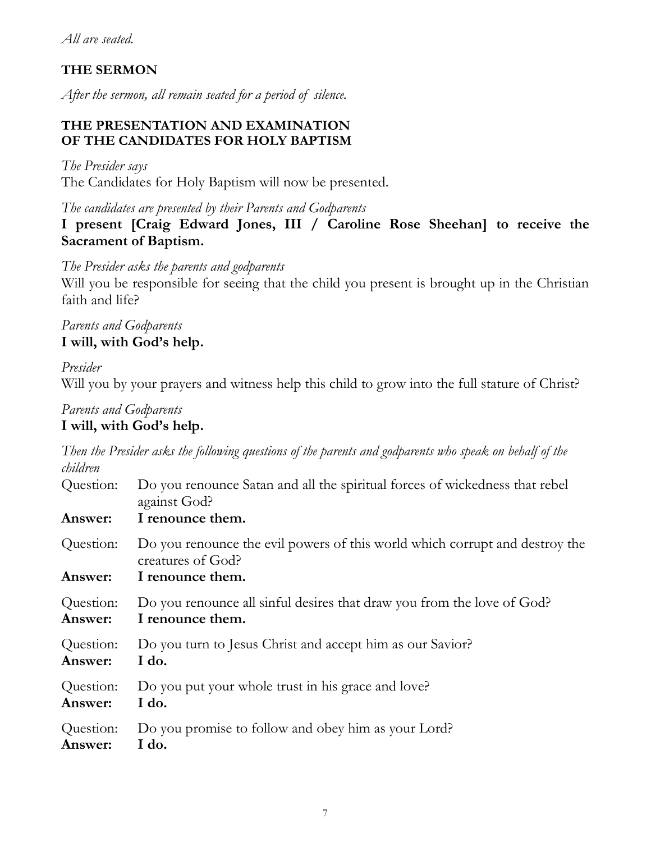*All are seated.*

## **THE SERMON**

*After the sermon, all remain seated for a period of silence.*

### **THE PRESENTATION AND EXAMINATION OF THE CANDIDATES FOR HOLY BAPTISM**

## *The Presider says*

The Candidates for Holy Baptism will now be presented.

*The candidates are presented by their Parents and Godparents*

## **I present [Craig Edward Jones, III / Caroline Rose Sheehan] to receive the Sacrament of Baptism.**

## *The Presider asks the parents and godparents*

Will you be responsible for seeing that the child you present is brought up in the Christian faith and life?

*Parents and Godparents* **I will, with God's help.**

*Presider* Will you by your prayers and witness help this child to grow into the full stature of Christ?

### *Parents and Godparents* **I will, with God's help.**

*Then the Presider asks the following questions of the parents and godparents who speak on behalf of the children*

| Question: | Do you renounce Satan and all the spiritual forces of wickedness that rebel<br>against God?      |
|-----------|--------------------------------------------------------------------------------------------------|
| Answer:   | I renounce them.                                                                                 |
| Question: | Do you renounce the evil powers of this world which corrupt and destroy the<br>creatures of God? |
| Answer:   | I renounce them.                                                                                 |
| Question: | Do you renounce all sinful desires that draw you from the love of God?                           |
| Answer:   | I renounce them.                                                                                 |
| Question: | Do you turn to Jesus Christ and accept him as our Savior?                                        |
| Answer:   | I do.                                                                                            |
| Question: | Do you put your whole trust in his grace and love?                                               |
| Answer:   | I do.                                                                                            |
| Question: | Do you promise to follow and obey him as your Lord?                                              |
| Answer:   | I do.                                                                                            |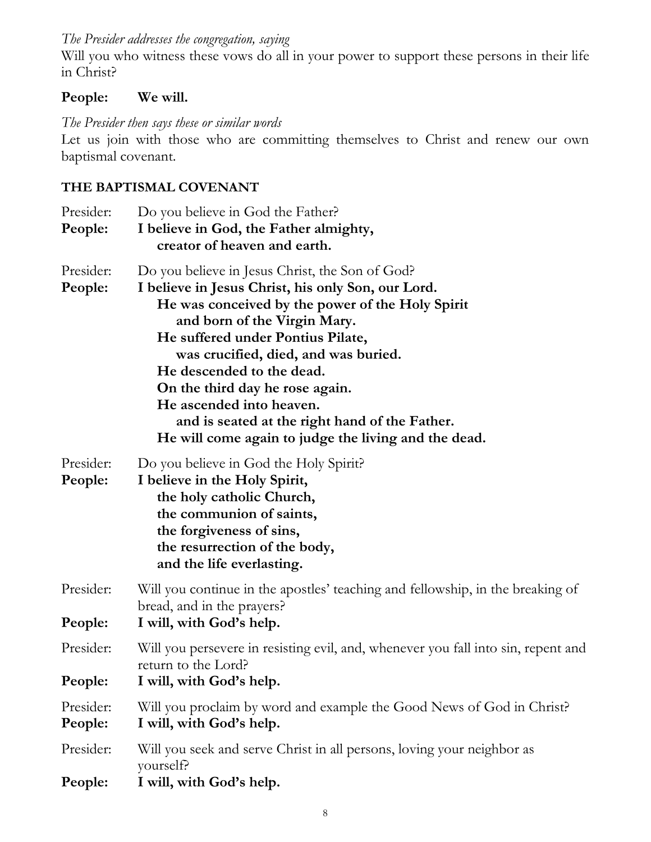*The Presider addresses the congregation, saying*

Will you who witness these vows do all in your power to support these persons in their life in Christ?

## **People: We will.**

*The Presider then says these or similar words*

Let us join with those who are committing themselves to Christ and renew our own baptismal covenant.

## **THE BAPTISMAL COVENANT**

| Presider:<br>People: | Do you believe in God the Father?<br>I believe in God, the Father almighty,<br>creator of heaven and earth.                                                                                                                                                                                                                                                                                                                                                                  |
|----------------------|------------------------------------------------------------------------------------------------------------------------------------------------------------------------------------------------------------------------------------------------------------------------------------------------------------------------------------------------------------------------------------------------------------------------------------------------------------------------------|
| Presider:<br>People: | Do you believe in Jesus Christ, the Son of God?<br>I believe in Jesus Christ, his only Son, our Lord.<br>He was conceived by the power of the Holy Spirit<br>and born of the Virgin Mary.<br>He suffered under Pontius Pilate,<br>was crucified, died, and was buried.<br>He descended to the dead.<br>On the third day he rose again.<br>He ascended into heaven.<br>and is seated at the right hand of the Father.<br>He will come again to judge the living and the dead. |
| Presider:<br>People: | Do you believe in God the Holy Spirit?<br>I believe in the Holy Spirit,<br>the holy catholic Church,<br>the communion of saints,<br>the forgiveness of sins,<br>the resurrection of the body,<br>and the life everlasting.                                                                                                                                                                                                                                                   |
| Presider:<br>People: | Will you continue in the apostles' teaching and fellowship, in the breaking of<br>bread, and in the prayers?<br>I will, with God's help.                                                                                                                                                                                                                                                                                                                                     |
| Presider:            | Will you persevere in resisting evil, and, whenever you fall into sin, repent and                                                                                                                                                                                                                                                                                                                                                                                            |
| People:              | return to the Lord?<br>I will, with God's help.                                                                                                                                                                                                                                                                                                                                                                                                                              |
| Presider:<br>People: | Will you proclaim by word and example the Good News of God in Christ?<br>I will, with God's help.                                                                                                                                                                                                                                                                                                                                                                            |
| Presider:<br>People: | Will you seek and serve Christ in all persons, loving your neighbor as<br>yourself?<br>I will, with God's help.                                                                                                                                                                                                                                                                                                                                                              |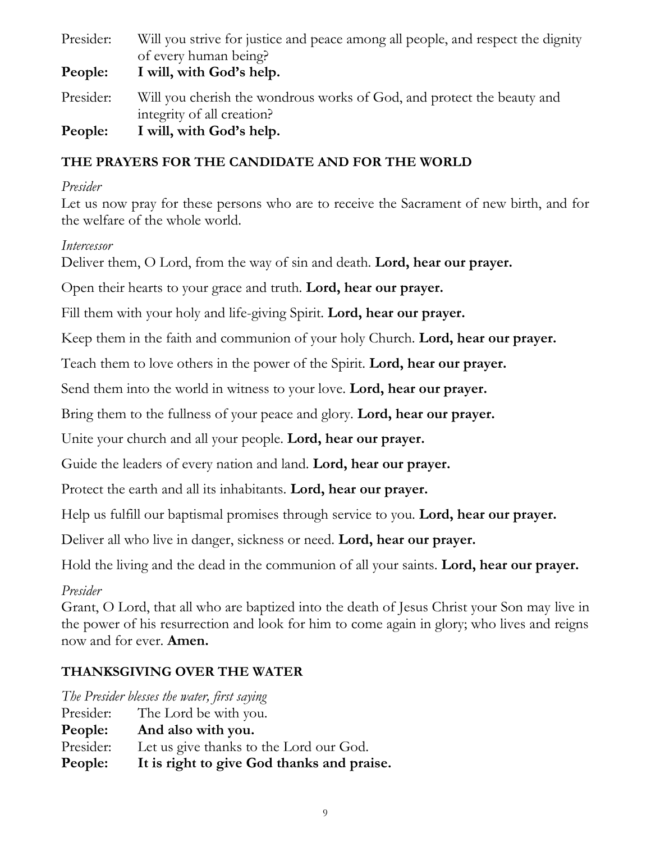Presider: Will you strive for justice and peace among all people, and respect the dignity of every human being? **People: I will, with God's help.** Presider: Will you cherish the wondrous works of God, and protect the beauty and integrity of all creation? **People: I will, with God's help.**

### **THE PRAYERS FOR THE CANDIDATE AND FOR THE WORLD**

#### *Presider*

Let us now pray for these persons who are to receive the Sacrament of new birth, and for the welfare of the whole world.

### *Intercessor*

Deliver them, O Lord, from the way of sin and death. **Lord, hear our prayer.**

Open their hearts to your grace and truth. **Lord, hear our prayer.**

Fill them with your holy and life-giving Spirit. **Lord, hear our prayer.**

Keep them in the faith and communion of your holy Church. **Lord, hear our prayer.**

Teach them to love others in the power of the Spirit. **Lord, hear our prayer.**

Send them into the world in witness to your love. **Lord, hear our prayer.**

Bring them to the fullness of your peace and glory. **Lord, hear our prayer.**

Unite your church and all your people. **Lord, hear our prayer.**

Guide the leaders of every nation and land. **Lord, hear our prayer.**

Protect the earth and all its inhabitants. **Lord, hear our prayer.**

Help us fulfill our baptismal promises through service to you. **Lord, hear our prayer.**

Deliver all who live in danger, sickness or need. **Lord, hear our prayer.**

Hold the living and the dead in the communion of all your saints. **Lord, hear our prayer.**

## *Presider*

Grant, O Lord, that all who are baptized into the death of Jesus Christ your Son may live in the power of his resurrection and look for him to come again in glory; who lives and reigns now and for ever. **Amen.**

## **THANKSGIVING OVER THE WATER**

*The Presider blesses the water, first saying* Presider: The Lord be with you. **People: And also with you.** Presider: Let us give thanks to the Lord our God. **People: It is right to give God thanks and praise.**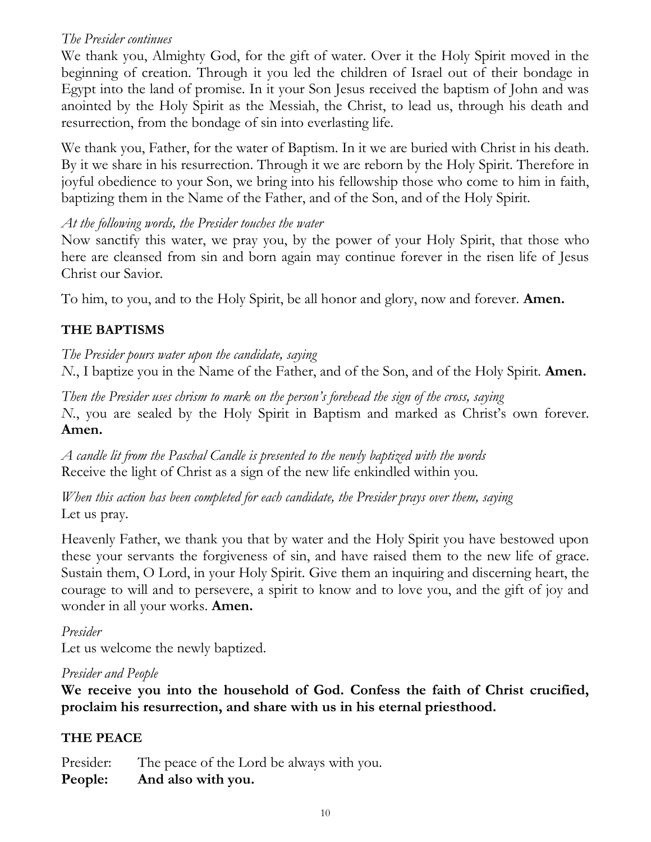## *The Presider continues*

We thank you, Almighty God, for the gift of water. Over it the Holy Spirit moved in the beginning of creation. Through it you led the children of Israel out of their bondage in Egypt into the land of promise. In it your Son Jesus received the baptism of John and was anointed by the Holy Spirit as the Messiah, the Christ, to lead us, through his death and resurrection, from the bondage of sin into everlasting life.

We thank you, Father, for the water of Baptism. In it we are buried with Christ in his death. By it we share in his resurrection. Through it we are reborn by the Holy Spirit. Therefore in joyful obedience to your Son, we bring into his fellowship those who come to him in faith, baptizing them in the Name of the Father, and of the Son, and of the Holy Spirit.

*At the following words, the Presider touches the water*

Now sanctify this water, we pray you, by the power of your Holy Spirit, that those who here are cleansed from sin and born again may continue forever in the risen life of Jesus Christ our Savior.

To him, to you, and to the Holy Spirit, be all honor and glory, now and forever. **Amen.**

## **THE BAPTISMS**

*The Presider pours water upon the candidate, saying N.*, I baptize you in the Name of the Father, and of the Son, and of the Holy Spirit. **Amen.**

*Then the Presider uses chrism to mark on the person's forehead the sign of the cross, saying N.*, you are sealed by the Holy Spirit in Baptism and marked as Christ's own forever. **Amen.**

*A candle lit from the Paschal Candle is presented to the newly baptized with the words* Receive the light of Christ as a sign of the new life enkindled within you.

*When this action has been completed for each candidate, the Presider prays over them, saying* Let us pray.

Heavenly Father, we thank you that by water and the Holy Spirit you have bestowed upon these your servants the forgiveness of sin, and have raised them to the new life of grace. Sustain them, O Lord, in your Holy Spirit. Give them an inquiring and discerning heart, the courage to will and to persevere, a spirit to know and to love you, and the gift of joy and wonder in all your works. **Amen.**

*Presider* Let us welcome the newly baptized.

## *Presider and People*

**We receive you into the household of God. Confess the faith of Christ crucified, proclaim his resurrection, and share with us in his eternal priesthood.**

## **THE PEACE**

Presider: The peace of the Lord be always with you. **People: And also with you.**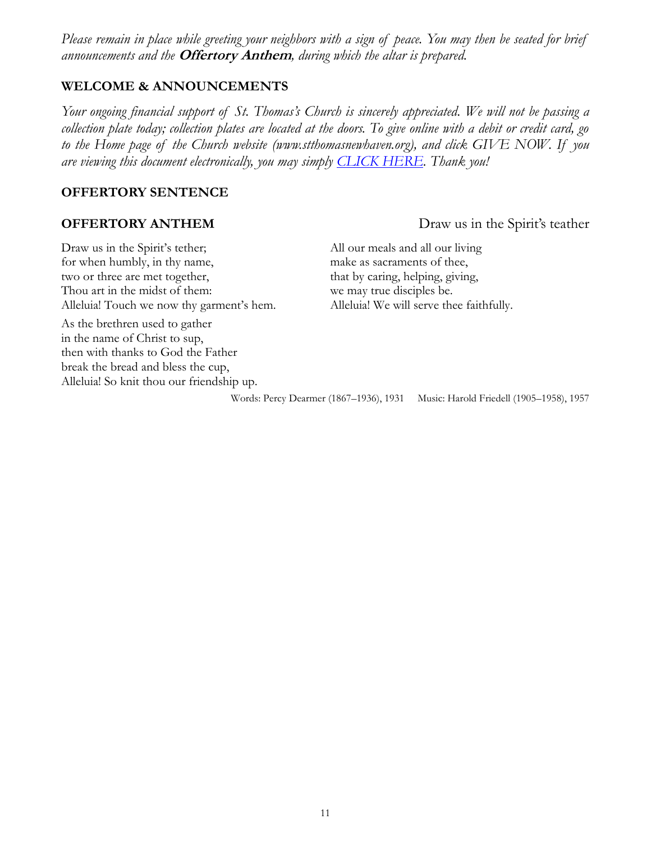*Please remain in place while greeting your neighbors with a sign of peace. You may then be seated for brief announcements and the* **Offertory Anthem***, during which the altar is prepared.*

#### **WELCOME & ANNOUNCEMENTS**

*Your ongoing financial support of St. Thomas's Church is sincerely appreciated. We will not be passing a collection plate today; collection plates are located at the doors. To give online with a debit or credit card, go to the Home page of the Church website (www.stthomasnewhaven.org), and click GIVE NOW. If you are viewing this document electronically, you may simply [CLICK HERE.](https://www.eservicepayments.com/cgi-bin/Vanco_ver3.vps?appver3=Fi1giPL8kwX_Oe1AO50jRjlaa8kk38nFSc7qZC8ojCks4NSQukCYDzKLUtTTUlsf2EvVVAEjqawDomKT1pboueWRKPI6Vr5O0LVBV63LB8s=&ver=3) Thank you!*

#### **OFFERTORY SENTENCE**

**OFFERTORY ANTHEM** Draw us in the Spirit's teather

Draw us in the Spirit's tether; for when humbly, in thy name, two or three are met together, Thou art in the midst of them: Alleluia! Touch we now thy garment's hem. As the brethren used to gather in the name of Christ to sup, then with thanks to God the Father break the bread and bless the cup, Alleluia! So knit thou our friendship up.

All our meals and all our living make as sacraments of thee, that by caring, helping, giving, we may true disciples be. Alleluia! We will serve thee faithfully.

Words: Percy Dearmer (1867–1936), 1931 Music: Harold Friedell (1905–1958), 1957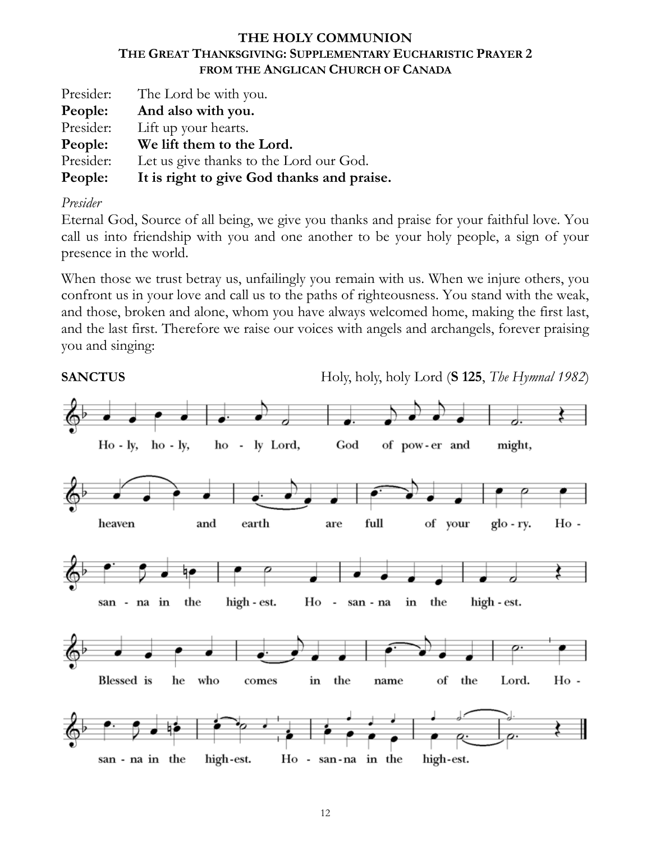#### **THE HOLY COMMUNION THE GREAT THANKSGIVING: SUPPLEMENTARY EUCHARISTIC PRAYER 2 FROM THE ANGLICAN CHURCH OF CANADA**

| Presider: | The Lord be with you.                      |
|-----------|--------------------------------------------|
| People:   | And also with you.                         |
| Presider: | Lift up your hearts.                       |
| People:   | We lift them to the Lord.                  |
| Presider: | Let us give thanks to the Lord our God.    |
| People:   | It is right to give God thanks and praise. |

### *Presider*

Eternal God, Source of all being, we give you thanks and praise for your faithful love. You call us into friendship with you and one another to be your holy people, a sign of your presence in the world.

When those we trust betray us, unfailingly you remain with us. When we injure others, you confront us in your love and call us to the paths of righteousness. You stand with the weak, and those, broken and alone, whom you have always welcomed home, making the first last, and the last first. Therefore we raise our voices with angels and archangels, forever praising you and singing:

 $Ho - ly$ ,  $ho - ly$ , ly Lord, God of pow-er and might, ho  $\sim$ earth full heaven and glo - ry.  $Ho$  of your are san - na in the high - est. Ho - san - na in the high - est. Lord. Blessed is he who the the  $Ho$  comes in name of san - na in the high-est. Ho - san-na in the high-est.

**SANCTUS** Holy, holy, holy Lord (**S 125**, *The Hymnal 1982*)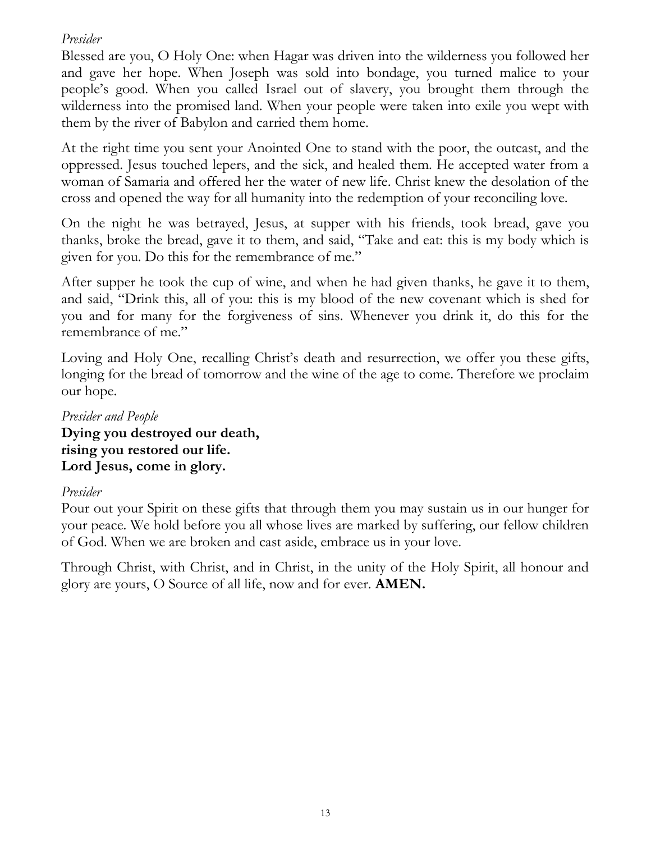## *Presider*

Blessed are you, O Holy One: when Hagar was driven into the wilderness you followed her and gave her hope. When Joseph was sold into bondage, you turned malice to your people's good. When you called Israel out of slavery, you brought them through the wilderness into the promised land. When your people were taken into exile you wept with them by the river of Babylon and carried them home.

At the right time you sent your Anointed One to stand with the poor, the outcast, and the oppressed. Jesus touched lepers, and the sick, and healed them. He accepted water from a woman of Samaria and offered her the water of new life. Christ knew the desolation of the cross and opened the way for all humanity into the redemption of your reconciling love.

On the night he was betrayed, Jesus, at supper with his friends, took bread, gave you thanks, broke the bread, gave it to them, and said, "Take and eat: this is my body which is given for you. Do this for the remembrance of me."

After supper he took the cup of wine, and when he had given thanks, he gave it to them, and said, "Drink this, all of you: this is my blood of the new covenant which is shed for you and for many for the forgiveness of sins. Whenever you drink it, do this for the remembrance of me."

Loving and Holy One, recalling Christ's death and resurrection, we offer you these gifts, longing for the bread of tomorrow and the wine of the age to come. Therefore we proclaim our hope.

*Presider and People* **Dying you destroyed our death, rising you restored our life. Lord Jesus, come in glory.**

## *Presider*

Pour out your Spirit on these gifts that through them you may sustain us in our hunger for your peace. We hold before you all whose lives are marked by suffering, our fellow children of God. When we are broken and cast aside, embrace us in your love.

Through Christ, with Christ, and in Christ, in the unity of the Holy Spirit, all honour and glory are yours, O Source of all life, now and for ever. **AMEN.**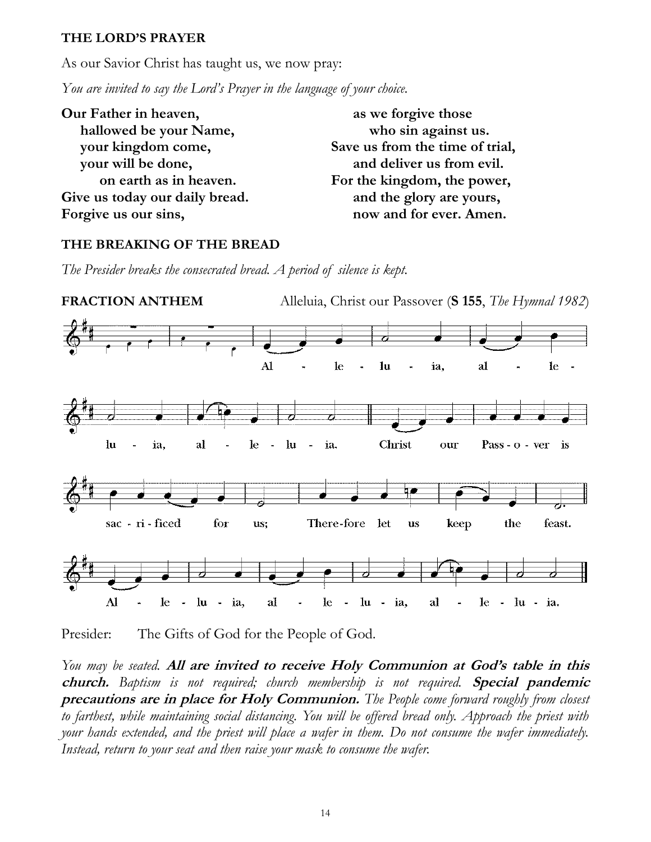#### **THE LORD'S PRAYER**

As our Savior Christ has taught us, we now pray:

*You are invited to say the Lord's Prayer in the language of your choice.*

**Our Father in heaven, hallowed be your Name, your kingdom come, your will be done, on earth as in heaven. Give us today our daily bread. Forgive us our sins,**

**as we forgive those who sin against us. Save us from the time of trial, and deliver us from evil. For the kingdom, the power, and the glory are yours, now and for ever. Amen.**

#### **THE BREAKING OF THE BREAD**

*The Presider breaks the consecrated bread. A period of silence is kept.*





*You may be seated.* **All are invited to receive Holy Communion at God's table in this church.** *Baptism is not required; church membership is not required.* **Special pandemic precautions are in place for Holy Communion.** *The People come forward roughly from closest to farthest, while maintaining social distancing. You will be offered bread only. Approach the priest with your hands extended, and the priest will place a wafer in them. Do not consume the wafer immediately. Instead, return to your seat and then raise your mask to consume the wafer.*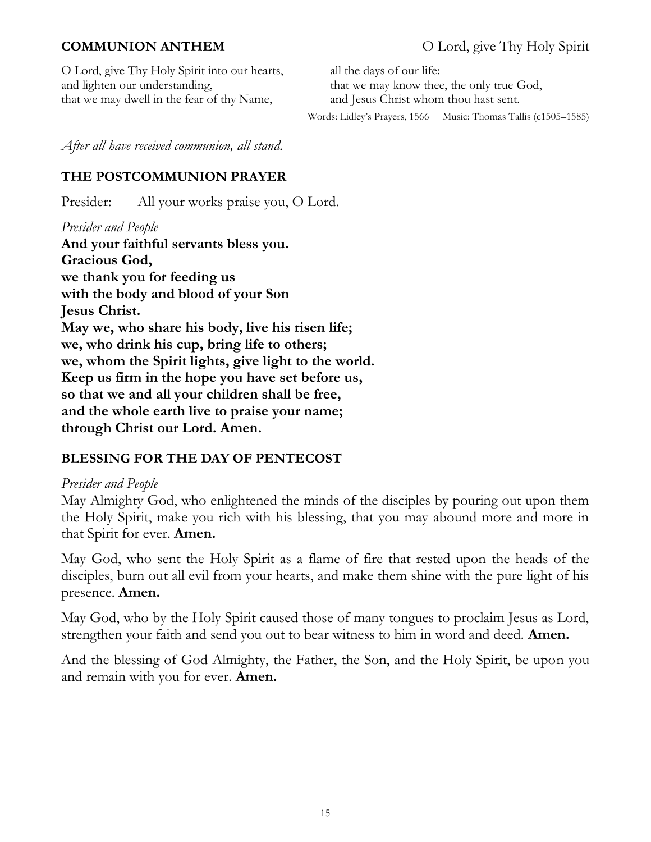#### **COMMUNION ANTHEM** O Lord, give Thy Holy Spirit

O Lord, give Thy Holy Spirit into our hearts, and lighten our understanding, that we may dwell in the fear of thy Name,

all the days of our life: that we may know thee, the only true God, and Jesus Christ whom thou hast sent.

Words: Lidley's Prayers, 1566 Music: Thomas Tallis (c1505–1585)

*After all have received communion, all stand.*

#### **THE POSTCOMMUNION PRAYER**

Presider: All your works praise you, O Lord.

#### *Presider and People*

**And your faithful servants bless you. Gracious God, we thank you for feeding us with the body and blood of your Son Jesus Christ. May we, who share his body, live his risen life; we, who drink his cup, bring life to others; we, whom the Spirit lights, give light to the world. Keep us firm in the hope you have set before us, so that we and all your children shall be free, and the whole earth live to praise your name; through Christ our Lord. Amen.**

### **BLESSING FOR THE DAY OF PENTECOST**

#### *Presider and People*

May Almighty God, who enlightened the minds of the disciples by pouring out upon them the Holy Spirit, make you rich with his blessing, that you may abound more and more in that Spirit for ever. **Amen.**

May God, who sent the Holy Spirit as a flame of fire that rested upon the heads of the disciples, burn out all evil from your hearts, and make them shine with the pure light of his presence. **Amen.**

May God, who by the Holy Spirit caused those of many tongues to proclaim Jesus as Lord, strengthen your faith and send you out to bear witness to him in word and deed. **Amen.**

And the blessing of God Almighty, the Father, the Son, and the Holy Spirit, be upon you and remain with you for ever. **Amen.**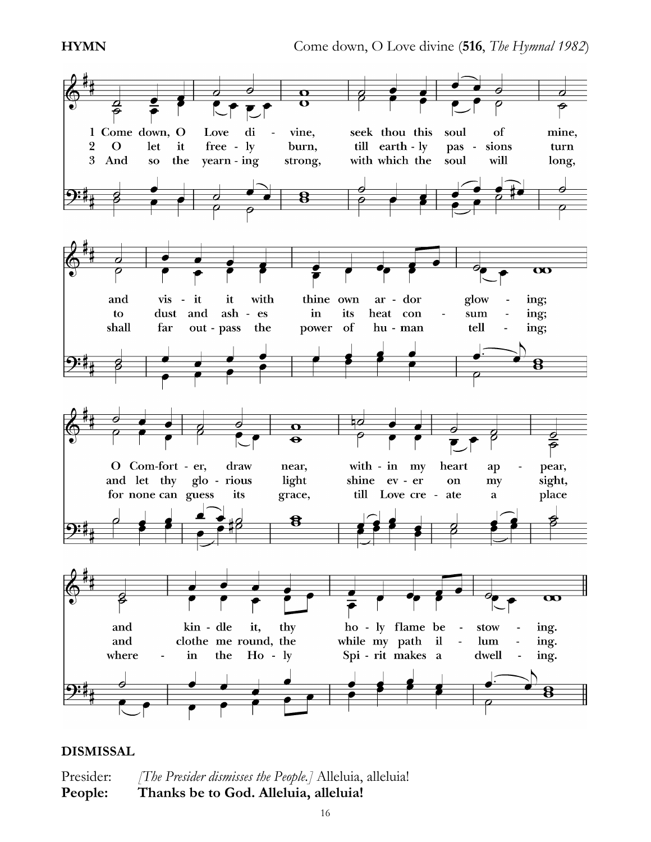**HYMN** Come down, O Love divine (**516**, *The Hymnal 1982*)



#### **DISMISSAL**

Presider: *[The Presider dismisses the People.]* Alleluia, alleluia! **People: Thanks be to God. Alleluia, alleluia!**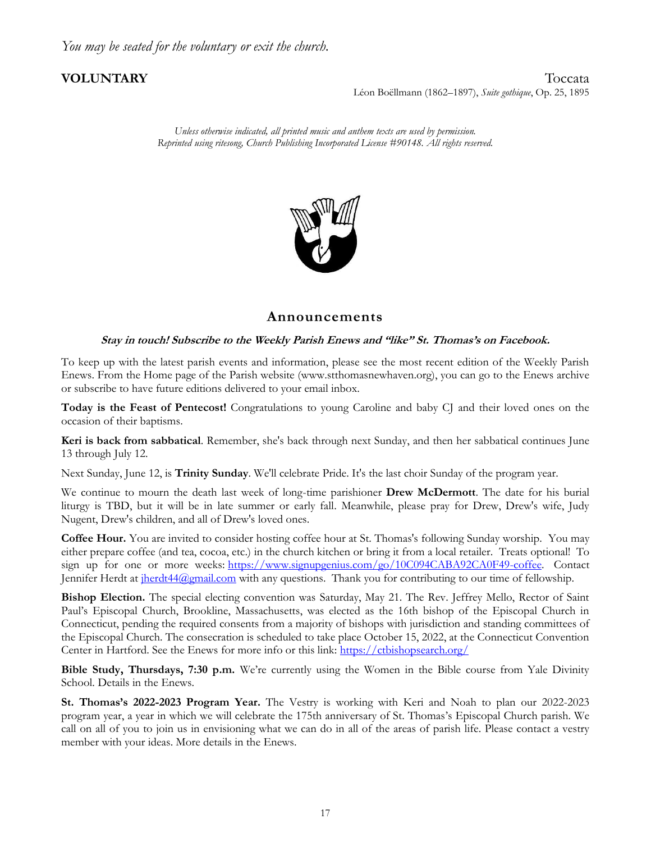**VOLUNTARY** Toccata Léon Boëllmann (1862–1897), *Suite gothique*, Op. 25, 1895

> *Unless otherwise indicated, all printed music and anthem texts are used by permission. Reprinted using ritesong, Church Publishing Incorporated License #90148. All rights reserved.*



#### **Announcements**

#### **Stay in touch! Subscribe to the Weekly Parish Enews and "like" St. Thomas's on Facebook.**

To keep up with the latest parish events and information, please see the most recent edition of the Weekly Parish Enews. From the Home page of the Parish website [\(www.stthomasnewhaven.org\)](http://www.stthomasnewhaven.org/), you can go to the Enews archive or subscribe to have future editions delivered to your email inbox.

**Today is the Feast of Pentecost!** Congratulations to young Caroline and baby CJ and their loved ones on the occasion of their baptisms.

**Keri is back from sabbatical**. Remember, she's back through next Sunday, and then her sabbatical continues June 13 through July 12.

Next Sunday, June 12, is **Trinity Sunday**. We'll celebrate Pride. It's the last choir Sunday of the program year.

We continue to mourn the death last week of long-time parishioner **Drew McDermott**. The date for his burial liturgy is TBD, but it will be in late summer or early fall. Meanwhile, please pray for Drew, Drew's wife, Judy Nugent, Drew's children, and all of Drew's loved ones.

**Coffee Hour.** You are invited to consider hosting coffee hour at St. Thomas's following Sunday worship. You may either prepare coffee (and tea, cocoa, etc.) in the church kitchen or bring it from a local retailer. Treats optional! To sign up for one or more weeks: [https://www.signupgenius.com/go/10C094CABA92CA0F49-coffee.](https://nam12.safelinks.protection.outlook.com/?url=https%3A%2F%2Fwww.signupgenius.com%2Fgo%2F10C094CABA92CA0F49-coffee&data=04%7C01%7Cjennifer.herdt%40yale.edu%7C6382f1cd26f34d72783e08da02105fb6%7Cdd8cbebb21394df8b4114e3e87abeb5c%7C0%7C0%7C637824566592953682%7CUnknown%7CTWFpbGZsb3d8eyJWIjoiMC4wLjAwMDAiLCJQIjoiV2luMzIiLCJBTiI6Ik1haWwiLCJXVCI6Mn0%3D%7C3000&sdata=lfhrIOxFIh%2FI5Si1ELDUOvGChJnYI1YcMFsN1jA6cok%3D&reserved=0) Contact Jennifer Herdt at <u>iherdt44@gmail.com</u> with any questions. Thank you for contributing to our time of fellowship.

**Bishop Election.** The special electing convention was Saturday, May 21. The Rev. Jeffrey Mello, Rector of Saint Paul's Episcopal Church, Brookline, Massachusetts, was elected as the 16th bishop of the Episcopal Church in Connecticut, pending the required consents from a majority of bishops with jurisdiction and standing committees of the Episcopal Church. The consecration is scheduled to take place October 15, 2022, at the Connecticut Convention Center in Hartford. See the Enews for more info or this link:<https://ctbishopsearch.org/>

**Bible Study, Thursdays, 7:30 p.m.** We're currently using the Women in the Bible course from Yale Divinity School. Details in the Enews.

**St. Thomas's 2022-2023 Program Year.** The Vestry is working with Keri and Noah to plan our 2022-2023 program year, a year in which we will celebrate the 175th anniversary of St. Thomas's Episcopal Church parish. We call on all of you to join us in envisioning what we can do in all of the areas of parish life. Please contact a vestry member with your ideas. More details in the Enews.